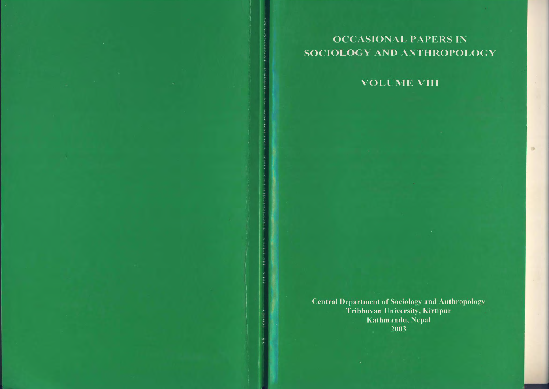**OCCASIONAL PAPERS IN** SOCIOLOGY AND ANTHROPOLOGY

**VOLUME VIII** 

**Central Department of Sociology and Anthropology<br>Tribhuvan University, Kirtipur** Kathmandu, Nepal 2003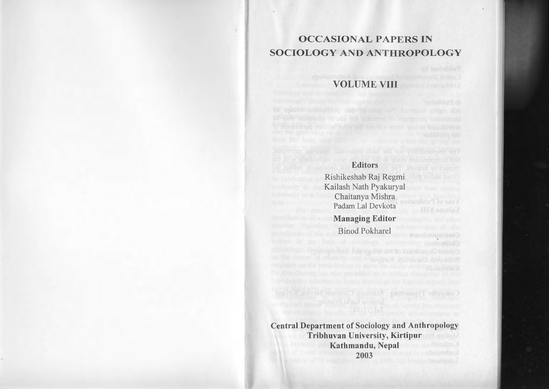## OCCASIONAL PAPERS IN SOCIOLOGY AND ANTHROPOLOGY

**NOLUME VIII** 

**Editors** Rishikeshab Raj Regmi

Kailash Nath Pyakuryal Chaitanya Mishra Padam Lal Devkota Managing Editor Binod Pokharel

Central Department of Sociology and Anthropology Tribhuvan University, Kirtipur Kathmandu, Nepal 2003

Compositer Typesting Statement Computer Schredule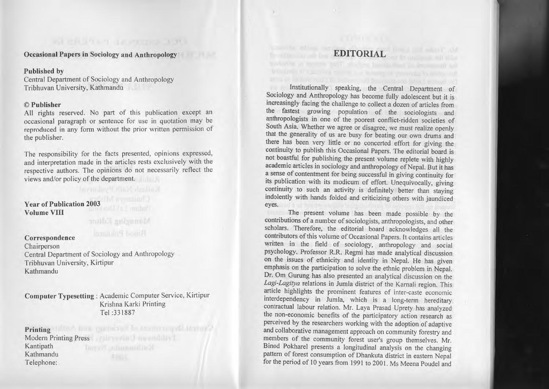Occasional Papers in Sociology and Anthropology

## Published by

Central Department of Sociology and Anthropology Tribhuvan University, Kathmandu

## $\circ$  r uplisher

All rights reserved. No par<sup>t</sup> of this publication excep<sup>t</sup> an occasional paragraph or sentence for use in quotation. may be reproduced in any form without the prior written permission of the publisher.

The responsibility for the facts presented, opinions expressed, and interpretation made in the articles rests exclusively With the respective authors. The opinions do not necessanly reflect the views and/or policy of the department.

Year of Publication 2003 Volume VIII

Minneying Editor

Correspondence<br>Chairperson  $\epsilon$ nan person Central Department of Sociology and Anthropology Tribhuvan University, Kirtipur Kathmandu

Computer Typesetting: Academic Computer Service, Kirtipur Krishna Karki Printing Tel:331887

**Printing** Modern Printing Press Kantipath Anno Kathmandu Telephone:

# **EDITORIAL**

Institutionally speaking, the Central Department of Sociology and Anthropology has become fully adolescent but it is increasingly facing the challenge to collect <sup>a</sup> dozen of articles from the fastest growing population of the sociologists and anthropologists in one of the poores<sup>t</sup> conflict-ridden societies of South Asia. Whether we agree or disagree, we must realize openly that the generality of us are busy for beating our own drums and there has been very little or no concerted effort for giving the continuity to publish this Occasional Papers. The editorial board is not boastful for publishing the presen<sup>t</sup> volume replete with highly academic articles in sociology and anthropology of Nepal. But it has <sup>a</sup> sense of contentment for being successful in giving continuity for its publication with its modicum of effort. Unequivocally, giving continuity to such an activity is definitely better than staying indolently with hands folded and criticizing others with jaundiced eyes.

The present volume has been made possible by the contributions of a number of sociologists, anthropologists, and other scholars. Therefore, the editorial board acknowledges all the contributors of this volume of Occasional Papers. It contains articles written in the field of sociology, anthropology and social psychology. Professor R.R. Regmi has made analytical discussion on the issues of ethnicity and identity in Nepal. He has given emphasis on the participation to solve the ethnic problem in Nepal. Dr. Om Gurung has also presented an analytical discussion on the *Lagi-Lagitya* relations in lumla district of the Karnali region. This article highlights the prominent features of inter-caste economic interdependency in lumla, which is <sup>a</sup> long-term hereditary contractual labour relation. Mr. Laya Prasad Uprety has analyzed the non-economic benefits of the participatory action research as perceived by the researchers working with the adoption of adaptive and collaborative managemen<sup>t</sup> approach on community forestry and members of the community forest user's group themselves. Mr. Binod Pokharel presents <sup>a</sup> longitudinal analysis on the changing pattern of forest consumption of Dhankuta district in eastern Nepal for the period of 10 years from 1991 to 2001. Ms Meena Poudel and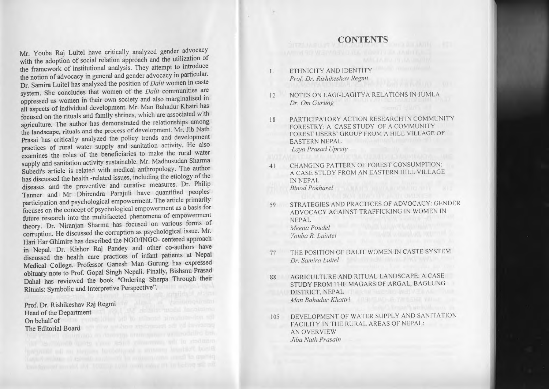- I. ETHNICITY AND IDENTITY *Prof Dr. Rishikeshav Regll7i*
- <sup>12</sup> NOTES ON LAGI-LAGITYA RELATIONS IN JUMLA *Dr. Om Gurung*
- <sup>18</sup> PARTICIPATORY ACTION RESEARCH IN COMMUNITY FORESTRY: A CASE STUDY OF A COMMUNITY FOREST USERS' GROUP FROM A HILL VILLAGE OF EASTERN NEPAL *Laya Prasad Uprery*
- 41 CHANGING PATTERN OF FOREST CONSUMPTION: <sup>A</sup> CASE STUDY FROM AN EASTERN HILL VILLAGE IN NEPAL

*Binod Pokhare/*

- 59 STRATEGIES AND PRACTICES OF ADVOCACY: GENDER ADVOCACY AGAINST TRAFFICKING IN WOMEN IN NEPAL *Meena POlldel YOllba R. LlIintel*
- <sup>77</sup> THE POSITION OF DALIT WOMEN IN CASTE SYSTEM *Dr. Samira Luitel*
- <sup>88</sup> AGRICULTURE AND RITUAL LANDSCAPE: A CASE STUDY FROM THE MAGARS OF ARGAL, BAGLUNG DISTRICT, NEPAL *Man Bahadur Khattri* **Management** *Man Bahadur Khattri* **Management** *Man Bahadur**Khattri* **<b>Management 1997**
- <sup>105</sup> DEVELOPMENT OF WATER SUPPLY AND SANITATION FACILITY IN THE RURAL AREAS OF NEPAL: AN OVERVIEW *Jiba Nath Prasain*

Mr. Youba Raj Luitel have critically analyzed gender advocacy with the adoption of social relation approac<sup>h</sup> and the utilization of the framework of institutional analysis. They attempt to introduce the notion of advocacy in genera<sup>l</sup> and gender advocacy in particular. Dr. Samira Luitel has analyzed the position of*Dalit* women in caste system. She concludes that women of the *Dalit* communities are oppressed as women in their own society and also marginalised in all aspects of individual development. Mr. Man Bahadur Khatri has focused on the rituals and family shrines, which are associated with agriculture. The author has demonstrated the relationships among the landscape, rituals and the process of development. Mr. Jib Nath Prasai has critically analyzed the policy trends and development practices of rural water supply and sanitation activity. He also examines the roles of the beneficiaries to make the rural water supply and sanitation activity sustainable. Mr. Madhusudan Sharma Subedi's article is related with medical anthropology. The author has discussed the health -related issues, including the etiology of the diseases and the preventive and curative measures. Dr. Philip Tanner and Mr Dhirendra Parajuli have quantified peoples' participation and psychological empowerment. The article primarily focuses on the concep<sup>t</sup> of psychological empowermen<sup>t</sup> as <sup>a</sup> basis for future research into the multifaceted <sup>p</sup>henomena of empowermen<sup>t</sup> theory. Dr. Niranjan Sharma has focused on various forms of corruption. He discussed the corruption as psychological issue. Mr. Hari Har Ghimire has described the NGO/lNGO- centered approac<sup>h</sup> in Nepal. Dr. Kishor Raj Pandey and other co-authors have discussed the health care practices of infant patients at Nepal Medical College. Professor Ganesh Man Gurung has expresse<sup>d</sup> obituary note to Prof. Gopal Singh Nepali. Finally, Bishsnu Prasad Dahal has reviewed the book "Ordering Sherpa Through their Rituals: Symbolic and Interpretive Perspective".

Prof. Dr. Rishikeshav Raj Regmi Head of the Department On behalf of The Editorial Board